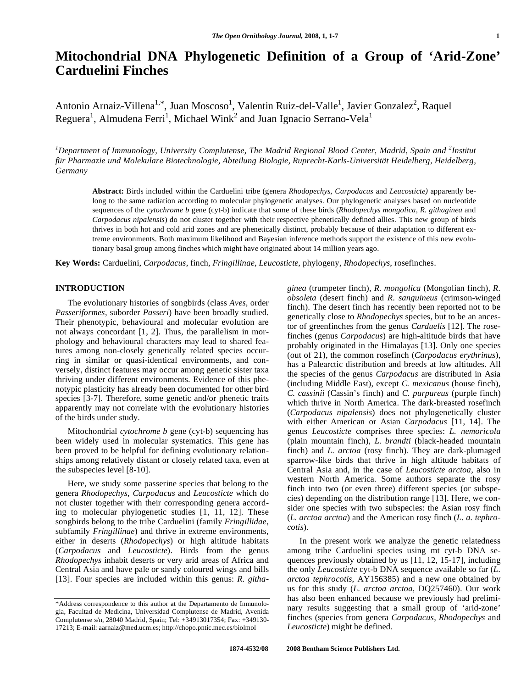# **Mitochondrial DNA Phylogenetic Definition of a Group of 'Arid-Zone' Carduelini Finches**

Antonio Arnaiz-Villena<sup>1,\*</sup>, Juan Moscoso<sup>1</sup>, Valentin Ruiz-del-Valle<sup>1</sup>, Javier Gonzalez<sup>2</sup>, Raquel Reguera<sup>1</sup>, Almudena Ferri<sup>1</sup>, Michael Wink<sup>2</sup> and Juan Ignacio Serrano-Vela<sup>1</sup>

<sup>1</sup>Department of Immunology, University Complutense, The Madrid Regional Blood Center, Madrid, Spain and <sup>2</sup>Institut *für Pharmazie und Molekulare Biotechnologie, Abteilung Biologie, Ruprecht-Karls-Universität Heidelberg, Heidelberg, Germany* 

**Abstract:** Birds included within the Carduelini tribe (genera *Rhodopechys*, *Carpodacus* and *Leucosticte)* apparently belong to the same radiation according to molecular phylogenetic analyses. Our phylogenetic analyses based on nucleotide sequences of the *cytochrome b* gene (cyt-b) indicate that some of these birds (*Rhodopechys mongolica*, *R. githaginea* and *Carpodacus nipalensis*) do not cluster together with their respective phenetically defined allies. This new group of birds thrives in both hot and cold arid zones and are phenetically distinct, probably because of their adaptation to different extreme environments. Both maximum likelihood and Bayesian inference methods support the existence of this new evolutionary basal group among finches which might have originated about 14 million years ago.

**Key Words:** Carduelini, *Carpodacus*, finch, *Fringillinae*, *Leucosticte*, phylogeny, *Rhodopechys*, rosefinches.

## **INTRODUCTION**

 The evolutionary histories of songbirds (class *Aves*, order *Passeriformes*, suborder *Passeri*) have been broadly studied. Their phenotypic, behavioural and molecular evolution are not always concordant [1, 2]. Thus, the parallelism in morphology and behavioural characters may lead to shared features among non-closely genetically related species occurring in similar or quasi-identical environments, and conversely, distinct features may occur among genetic sister taxa thriving under different environments. Evidence of this phenotypic plasticity has already been documented for other bird species [3-7]. Therefore, some genetic and/or phenetic traits apparently may not correlate with the evolutionary histories of the birds under study.

 Mitochondrial *cytochrome b* gene (cyt-b) sequencing has been widely used in molecular systematics. This gene has been proved to be helpful for defining evolutionary relationships among relatively distant or closely related taxa, even at the subspecies level [8-10].

 Here, we study some passerine species that belong to the genera *Rhodopechys*, *Carpodacus* and *Leucosticte* which do not cluster together with their corresponding genera according to molecular phylogenetic studies [1, 11, 12]. These songbirds belong to the tribe Carduelini (family *Fringillidae*, subfamily *Fringillinae*) and thrive in extreme environments, either in deserts (*Rhodopechys*) or high altitude habitats (*Carpodacus* and *Leucosticte*). Birds from the genus *Rhodopechys* inhabit deserts or very arid areas of Africa and Central Asia and have pale or sandy coloured wings and bills [13]. Four species are included within this genus: *R. githa-*  *ginea* (trumpeter finch), *R. mongolica* (Mongolian finch), *R. obsoleta* (desert finch) and *R. sanguineus* (crimson-winged finch). The desert finch has recently been reported not to be genetically close to *Rhodopechys* species, but to be an ancestor of greenfinches from the genus *Carduelis* [12]. The rosefinches (genus *Carpodacus*) are high-altitude birds that have probably originated in the Himalayas [13]. Only one species (out of 21), the common rosefinch (*Carpodacus erythrinus*), has a Palearctic distribution and breeds at low altitudes. All the species of the genus *Carpodacus* are distributed in Asia (including Middle East), except *C. mexicanus* (house finch), *C. cassinii* (Cassin's finch) and *C. purpureus* (purple finch) which thrive in North America. The dark-breasted rosefinch (*Carpodacus nipalensis*) does not phylogenetically cluster with either American or Asian *Carpodacus* [11, 14]. The genus *Leucosticte* comprises three species: *L. nemoricola* (plain mountain finch), *L. brandti* (black-headed mountain finch) and *L. arctoa* (rosy finch). They are dark-plumaged sparrow-like birds that thrive in high altitude habitats of Central Asia and, in the case of *Leucosticte arctoa*, also in western North America. Some authors separate the rosy finch into two (or even three) different species (or subspecies) depending on the distribution range [13]. Here, we consider one species with two subspecies: the Asian rosy finch (*L. arctoa arctoa*) and the American rosy finch (*L. a. tephrocotis*).

In the present work we analyze the genetic relatedness among tribe Carduelini species using mt cyt-b DNA sequences previously obtained by us [11, 12, 15-17], including the only *Leucosticte* cyt-b DNA sequence available so far (*L. arctoa tephrocotis*, AY156385) and a new one obtained by us for this study (*L. arctoa arctoa*, DQ257460). Our work has also been enhanced because we previously had preliminary results suggesting that a small group of 'arid-zone' finches (species from genera *Carpodacus*, *Rhodopechys* and *Leucosticte*) might be defined.

<sup>\*</sup>Address correspondence to this author at the Departamento de Inmunologia, Facultad de Medicina, Universidad Complutense de Madrid, Avenida Complutense s/n, 28040 Madrid, Spain; Tel: +34913017354; Fax: +349130- 17213; E-mail: aarnaiz@med.ucm.es; http://chopo.pntic.mec.es/biolmol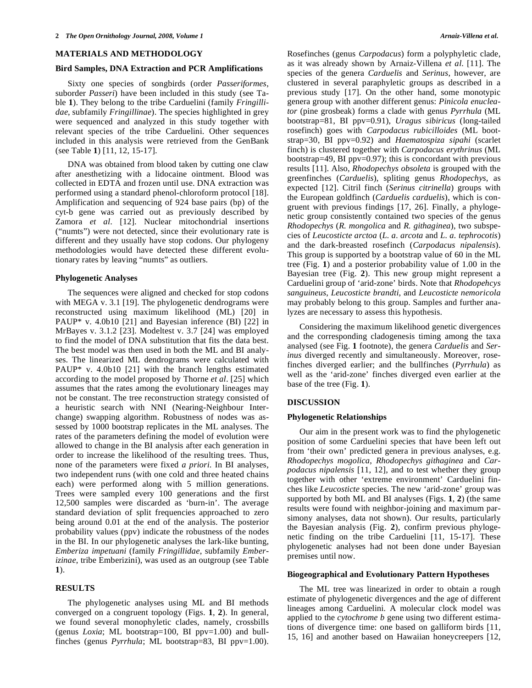#### **MATERIALS AND METHODOLOGY**

### **Bird Samples, DNA Extraction and PCR Amplifications**

 Sixty one species of songbirds (order *Passeriformes*, suborder *Passeri*) have been included in this study (see Table **1**). They belong to the tribe Carduelini (family *Fringillidae*, subfamily *Fringillinae*). The species highlighted in grey were sequenced and analyzed in this study together with relevant species of the tribe Carduelini. Other sequences included in this analysis were retrieved from the GenBank (see Table **1**) [11, 12, 15-17].

 DNA was obtained from blood taken by cutting one claw after anesthetizing with a lidocaine ointment. Blood was collected in EDTA and frozen until use. DNA extraction was performed using a standard phenol-chloroform protocol [18]. Amplification and sequencing of 924 base pairs (bp) of the cyt-b gene was carried out as previously described by Zamora *et al*. [12]. Nuclear mitochondrial insertions ("numts") were not detected, since their evolutionary rate is different and they usually have stop codons. Our phylogeny methodologies would have detected these different evolutionary rates by leaving "numts" as outliers.

### **Phylogenetic Analyses**

 The sequences were aligned and checked for stop codons with MEGA v. 3.1 [19]. The phylogenetic dendrograms were reconstructed using maximum likelihood (ML) [20] in PAUP\* v. 4.0b10 [21] and Bayesian inference (BI) [22] in MrBayes v. 3.1.2 [23]. Modeltest v. 3.7 [24] was employed to find the model of DNA substitution that fits the data best. The best model was then used in both the ML and BI analyses. The linearized ML dendrograms were calculated with PAUP\* v. 4.0b10 [21] with the branch lengths estimated according to the model proposed by Thorne *et al*. [25] which assumes that the rates among the evolutionary lineages may not be constant. The tree reconstruction strategy consisted of a heuristic search with NNI (Nearing-Neighbour Interchange) swapping algorithm. Robustness of nodes was assessed by 1000 bootstrap replicates in the ML analyses. The rates of the parameters defining the model of evolution were allowed to change in the BI analysis after each generation in order to increase the likelihood of the resulting trees. Thus, none of the parameters were fixed *a priori*. In BI analyses, two independent runs (with one cold and three heated chains each) were performed along with 5 million generations. Trees were sampled every 100 generations and the first 12,500 samples were discarded as 'burn-in'. The average standard deviation of split frequencies approached to zero being around 0.01 at the end of the analysis. The posterior probability values (ppv) indicate the robustness of the nodes in the BI. In our phylogenetic analyses the lark-like bunting, *Emberiza impetuani* (family *Fringillidae*, subfamily *Emberizinae*, tribe Emberizini), was used as an outgroup (see Table **1**).

## **RESULTS**

 The phylogenetic analyses using ML and BI methods converged on a congruent topology (Figs. **1**, **2**). In general, we found several monophyletic clades, namely, crossbills (genus *Loxia*; ML bootstrap=100, BI ppv=1.00) and bullfinches (genus *Pyrrhula*; ML bootstrap=83, BI ppv=1.00). Rosefinches (genus *Carpodacus*) form a polyphyletic clade, as it was already shown by Arnaiz-Villena *et al*. [11]. The species of the genera *Carduelis* and *Serinus*, however, are clustered in several paraphyletic groups as described in a previous study [17]. On the other hand, some monotypic genera group with another different genus: *Pinicola enucleator* (pine grosbeak) forms a clade with genus *Pyrrhula* (ML bootstrap=81, BI ppv=0.91), *Uragus sibiricus* (long-tailed rosefinch) goes with *Carpodacus rubicilloides* (ML bootstrap=30, BI ppv=0.92) and *Haematospiza sipahi* (scarlet finch) is clustered together with *Carpodacus erythrinus* (ML bootstrap=49, BI ppv=0.97); this is concordant with previous results [11]. Also, *Rhodopechys obsoleta* is grouped with the greenfinches (*Carduelis*), spliting genus *Rhodopechys*, as expected [12]. Citril finch (*Serinus citrinella*) groups with the European goldfinch (*Carduelis carduelis*), which is congruent with previous findings [17, 26]. Finally, a phylogenetic group consistently contained two species of the genus *Rhodopechys* (*R. mongolica* and *R. githaginea*), two subspecies of *Leucosticte arctoa* (*L. a. arcota* and *L. a. tephrocotis*) and the dark-breasted rosefinch (*Carpodacus nipalensis*). This group is supported by a bootstrap value of 60 in the ML tree (Fig. **1**) and a posterior probability value of 1.00 in the Bayesian tree (Fig. **2**). This new group might represent a Carduelini group of 'arid-zone' birds. Note that *Rhodopehcys sanguineus*, *Leucosticte brandti*, and *Leucosticte nemoricola* may probably belong to this group. Samples and further analyzes are necessary to assess this hypothesis.

 Considering the maximum likelihood genetic divergences and the corresponding cladogenesis timing among the taxa analysed (see Fig. **1** footnote), the genera *Carduelis* and *Serinus* diverged recently and simultaneously. Moreover, rosefinches diverged earlier; and the bullfinches (*Pyrrhula*) as well as the 'arid-zone' finches diverged even earlier at the base of the tree (Fig. **1**).

### **DISCUSSION**

#### **Phylogenetic Relationships**

 Our aim in the present work was to find the phylogenetic position of some Carduelini species that have been left out from 'their own' predicted genera in previous analyses, e.g. *Rhodopechys mogolica*, *Rhodopechys githaginea* and *Carpodacus nipalensis* [11, 12], and to test whether they group together with other 'extreme environment' Carduelini finches like *Leucosticte* species*.* The new 'arid-zone' group was supported by both ML and BI analyses (Figs. **1**, **2**) (the same results were found with neighbor-joining and maximum parsimony analyses, data not shown). Our results, particularly the Bayesian analysis (Fig. **2**), confirm previous phylogenetic finding on the tribe Carduelini [11, 15-17]. These phylogenetic analyses had not been done under Bayesian premises until now.

# **Biogeographical and Evolutionary Pattern Hypotheses**

 The ML tree was linearized in order to obtain a rough estimate of phylogenetic divergences and the age of different lineages among Carduelini*.* A molecular clock model was applied to the *cytochrome b* gene using two different estimations of divergence time: one based on galliform birds [11, 15, 16] and another based on Hawaiian honeycreepers [12,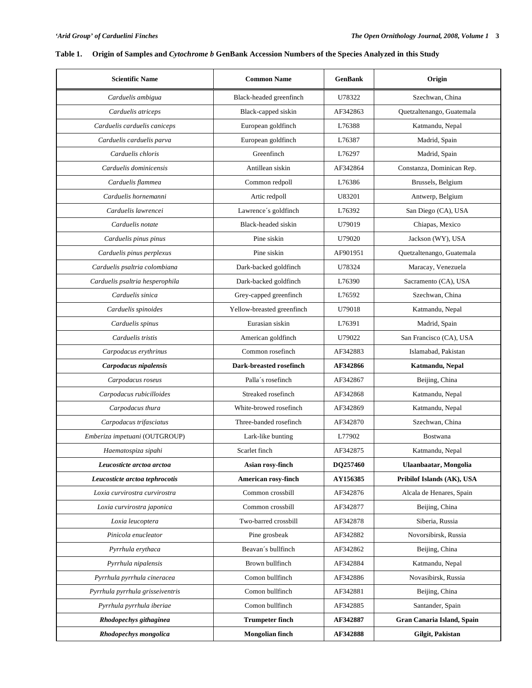# **Table 1. Origin of Samples and** *Cytochrome b* **GenBank Accession Numbers of the Species Analyzed in this Study**

| <b>Scientific Name</b>           | <b>Common Name</b>         | <b>GenBank</b>            | Origin                     |  |
|----------------------------------|----------------------------|---------------------------|----------------------------|--|
| Carduelis ambigua                | Black-headed greenfinch    | U78322                    | Szechwan, China            |  |
| Carduelis atriceps               | Black-capped siskin        | AF342863                  | Quetzaltenango, Guatemala  |  |
| Carduelis carduelis caniceps     | European goldfinch         | L76388                    | Katmandu, Nepal            |  |
| Carduelis carduelis parva        | European goldfinch         | L76387                    | Madrid, Spain              |  |
| Carduelis chloris                | Greenfinch                 | L76297                    | Madrid, Spain              |  |
| Carduelis dominicensis           | Antillean siskin           | AF342864                  | Constanza, Dominican Rep.  |  |
| Carduelis flammea                | Common redpoll             | L76386                    | Brussels, Belgium          |  |
| Carduelis hornemanni             | Artic redpoll              | U83201                    | Antwerp, Belgium           |  |
| Carduelis lawrencei              | Lawrence's goldfinch       | L76392                    | San Diego (CA), USA        |  |
| Carduelis notate                 | Black-headed siskin        | U79019                    | Chiapas, Mexico            |  |
| Carduelis pinus pinus            | Pine siskin                | U79020                    | Jackson (WY), USA          |  |
| Carduelis pinus perplexus        | Pine siskin                | AF901951                  | Quetzaltenango, Guatemala  |  |
| Carduelis psaltria colombiana    | Dark-backed goldfinch      | U78324                    | Maracay, Venezuela         |  |
| Carduelis psaltria hesperophila  | Dark-backed goldfinch      | L76390                    | Sacramento (CA), USA       |  |
| Carduelis sinica                 | Grey-capped greenfinch     | L76592<br>Szechwan, China |                            |  |
| Carduelis spinoides              | Yellow-breasted greenfinch | U79018                    | Katmandu, Nepal            |  |
| Carduelis spinus                 | Eurasian siskin            | L76391                    | Madrid, Spain              |  |
| Carduelis tristis                | American goldfinch         | U79022                    | San Francisco (CA), USA    |  |
| Carpodacus erythrinus            | Common rosefinch           | AF342883                  | Islamabad, Pakistan        |  |
| Carpodacus nipalensis            | Dark-breasted rosefinch    | AF342866                  | Katmandu, Nepal            |  |
| Carpodacus roseus                | Palla's rosefinch          | AF342867                  | Beijing, China             |  |
| Carpodacus rubicilloides         | Streaked rosefinch         | AF342868                  | Katmandu, Nepal            |  |
| Carpodacus thura                 | White-browed rosefinch     | AF342869                  | Katmandu, Nepal            |  |
| Carpodacus trifasciatus          | Three-banded rosefinch     | AF342870                  | Szechwan, China            |  |
| Emberiza impetuani (OUTGROUP)    | Lark-like bunting          | L77902                    | <b>Bostwana</b>            |  |
| Haematospiza sipahi              | Scarlet finch              | AF342875                  | Katmandu, Nepal            |  |
| Leucosticte arctoa arctoa        | Asian rosy-finch           | DQ257460                  | Ulaanbaatar, Mongolia      |  |
| Leucosticte arctoa tephrocotis   | American rosy-finch        | AY156385                  | Pribilof Islands (AK), USA |  |
| Loxia curvirostra curvirostra    | Common crossbill           | AF342876                  | Alcala de Henares, Spain   |  |
| Loxia curvirostra japonica       | Common crossbill           | AF342877                  | Beijing, China             |  |
| Loxia leucoptera                 | Two-barred crossbill       | AF342878                  | Siberia, Russia            |  |
| Pinicola enucleator              | Pine grosbeak              | AF342882                  | Novorsibirsk, Russia       |  |
| Pyrrhula erythaca                | Beavan's bullfinch         | AF342862                  | Beijing, China             |  |
| Pyrrhula nipalensis              | Brown bullfinch            | AF342884                  | Katmandu, Nepal            |  |
| Pyrrhula pyrrhula cineracea      | Comon bullfinch            | AF342886                  | Novasibirsk, Russia        |  |
| Pyrrhula pyrrhula grisseiventris | Comon bullfinch            | AF342881                  | Beijing, China             |  |
| Pyrrhula pyrrhula iberiae        | Comon bullfinch            | AF342885                  | Santander, Spain           |  |
| Rhodopechys githaginea           | <b>Trumpeter finch</b>     | AF342887                  | Gran Canaria Island, Spain |  |
| Rhodopechys mongolica            | <b>Mongolian finch</b>     | AF342888                  | Gilgit, Pakistan           |  |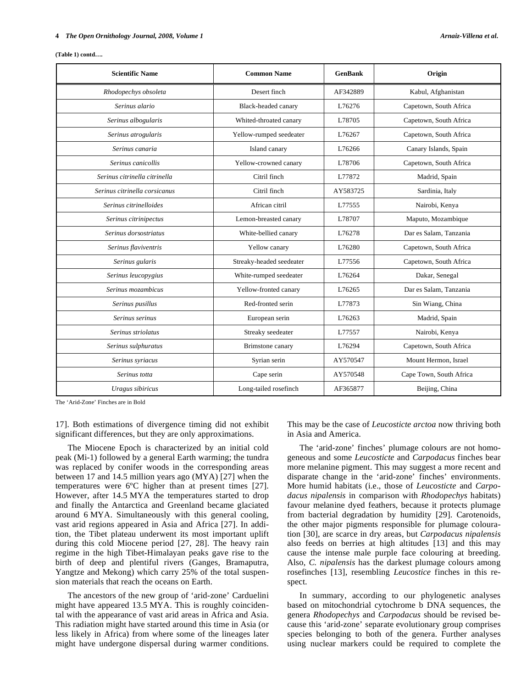| <b>Scientific Name</b>        | <b>Common Name</b>       | <b>GenBank</b> | Origin                  |
|-------------------------------|--------------------------|----------------|-------------------------|
| Rhodopechys obsoleta          | Desert finch             | AF342889       | Kabul, Afghanistan      |
| Serinus alario                | Black-headed canary      | L76276         | Capetown, South Africa  |
| Serinus albogularis           | Whited-throated canary   | L78705         | Capetown, South Africa  |
| Serinus atrogularis           | Yellow-rumped seedeater  | L76267         | Capetown, South Africa  |
| Serinus canaria               | Island canary            | L76266         | Canary Islands, Spain   |
| Serinus canicollis            | Yellow-crowned canary    | L78706         | Capetown, South Africa  |
| Serinus citrinella citrinella | Citril finch             | L77872         | Madrid, Spain           |
| Serinus citrinella corsicanus | Citril finch             | AY583725       | Sardinia, Italy         |
| Serinus citrinelloides        | African citril           | L77555         | Nairobi, Kenya          |
| Serinus citrinipectus         | Lemon-breasted canary    | L78707         | Maputo, Mozambique      |
| Serinus dorsostriatus         | White-bellied canary     | L76278         | Dar es Salam. Tanzania  |
| Serinus flaviventris          | Yellow canary            | L76280         | Capetown, South Africa  |
| Serinus gularis               | Streaky-headed seedeater | L77556         | Capetown, South Africa  |
| Serinus leucopygius           | White-rumped seedeater   | L76264         | Dakar, Senegal          |
| Serinus mozambicus            | Yellow-fronted canary    | L76265         | Dar es Salam, Tanzania  |
| Serinus pusillus              | Red-fronted serin        | L77873         | Sin Wiang, China        |
| Serinus serinus               | European serin           | L76263         | Madrid, Spain           |
| Serinus striolatus            | Streaky seedeater        | L77557         | Nairobi, Kenya          |
| Serinus sulphuratus           | Brimstone canary         | L76294         | Capetown, South Africa  |
| Serinus syriacus              | Syrian serin             | AY570547       | Mount Hermon, Israel    |
| Serinus totta                 | Cape serin               | AY570548       | Cape Town, South Africa |
| Uragus sibiricus              | Long-tailed rosefinch    | AF365877       | Beijing, China          |

**(Table 1) contd….** 

The 'Arid-Zone' Finches are in Bold

17]. Both estimations of divergence timing did not exhibit significant differences, but they are only approximations.

 The Miocene Epoch is characterized by an initial cold peak (Mi-1) followed by a general Earth warming; the tundra was replaced by conifer woods in the corresponding areas between 17 and 14.5 million years ago (MYA) [27] when the temperatures were 6ºC higher than at present times [27]. However, after 14.5 MYA the temperatures started to drop and finally the Antarctica and Greenland became glaciated around 6 MYA. Simultaneously with this general cooling, vast arid regions appeared in Asia and Africa [27]. In addition, the Tibet plateau underwent its most important uplift during this cold Miocene period [27, 28]. The heavy rain regime in the high Tibet-Himalayan peaks gave rise to the birth of deep and plentiful rivers (Ganges, Bramaputra, Yangtze and Mekong) which carry 25% of the total suspension materials that reach the oceans on Earth.

 The ancestors of the new group of 'arid-zone' Carduelini might have appeared 13.5 MYA. This is roughly coincidental with the appearance of vast arid areas in Africa and Asia. This radiation might have started around this time in Asia (or less likely in Africa) from where some of the lineages later might have undergone dispersal during warmer conditions.

This may be the case of *Leucosticte arctoa* now thriving both in Asia and America.

 The 'arid-zone' finches' plumage colours are not homogeneous and some *Leucosticte* and *Carpodacus* finches bear more melanine pigment. This may suggest a more recent and disparate change in the 'arid-zone' finches' environments. More humid habitats (i.e., those of *Leucosticte* and *Carpodacus nipalensis* in comparison with *Rhodopechys* habitats) favour melanine dyed feathers, because it protects plumage from bacterial degradation by humidity [29]. Carotenoids, the other major pigments responsible for plumage colouration [30], are scarce in dry areas, but *Carpodacus nipalensis* also feeds on berries at high altitudes [13] and this may cause the intense male purple face colouring at breeding. Also, *C. nipalensis* has the darkest plumage colours among rosefinches [13], resembling *Leucostice* finches in this respect.

 In summary, according to our phylogenetic analyses based on mitochondrial cytochrome b DNA sequences, the genera *Rhodopechys* and *Carpodacus* should be revised because this 'arid-zone' separate evolutionary group comprises species belonging to both of the genera. Further analyses using nuclear markers could be required to complete the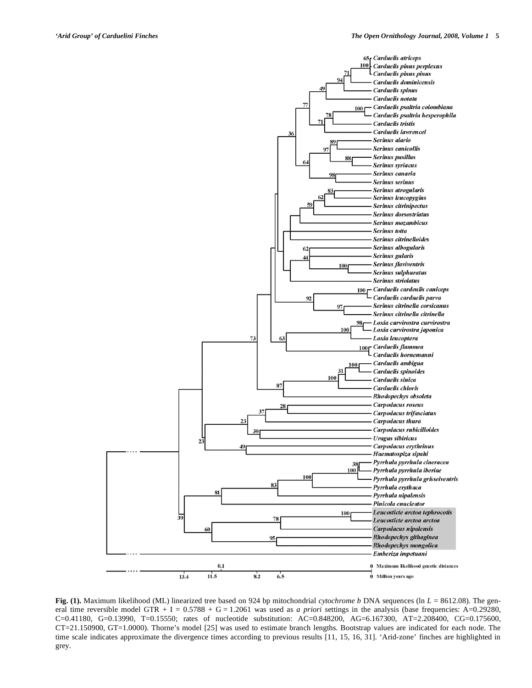

**Fig.** (1). Maximum likelihood (ML) linearized tree based on 924 bp mitochondrial *cytochrome b* DNA sequences (ln *L* = 8612.08). The general time reversible model GTR  $+ I = 0.5788 + G = 1.2061$  was used as *a priori* settings in the analysis (base frequencies: A=0.29280, C=0.41180, G=0.13990, T=0.15550; rates of nucleotide substitution: AC=0.848200, AG=6.167300, AT=2.208400, CG=0.175600, CT=21.150900, GT=1.0000). Thorne's model [25] was used to estimate branch lengths. Bootstrap values are indicated for each node. The time scale indicates approximate the divergence times according to previous results [11, 15, 16, 31]. 'Arid-zone' finches are highlighted in grey.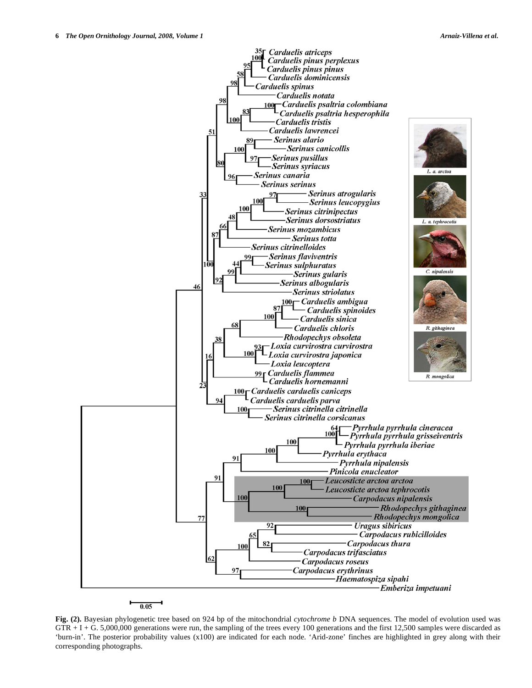

 $0.05$ 

**Fig. (2).** Bayesian phylogenetic tree based on 924 bp of the mitochondrial *cytochrome b* DNA sequences. The model of evolution used was  $GTR + I + G. 5,000,000$  generations were run, the sampling of the trees every 100 generations and the first 12,500 samples were discarded as 'burn-in'. The posterior probability values (x100) are indicated for each node. 'Arid-zone' finches are highlighted in grey along with their corresponding photographs.